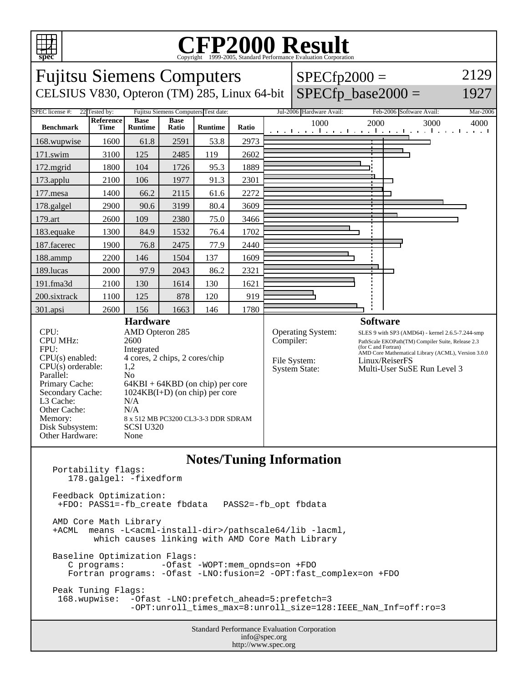

Portability flags:

## Copyright ©1999-2005, Standard Performance Evaluation Corporation



**Notes/Tuning Information**

 178.galgel: -fixedform Feedback Optimization: +FDO: PASS1=-fb\_create fbdata PASS2=-fb\_opt fbdata AMD Core Math Library +ACML means -L<acml-install-dir>/pathscale64/lib -lacml, which causes linking with AMD Core Math Library Baseline Optimization Flags: C programs: -Ofast -WOPT:mem\_opnds=on +FDO Fortran programs: -Ofast -LNO:fusion=2 -OPT:fast\_complex=on +FDO Peak Tuning Flags: 168.wupwise: -Ofast -LNO:prefetch\_ahead=5:prefetch=3 -OPT:unroll\_times\_max=8:unroll\_size=128:IEEE\_NaN\_Inf=off:ro=3

Standard Performance Evaluation Corporation info@spec.org http://www.spec.org